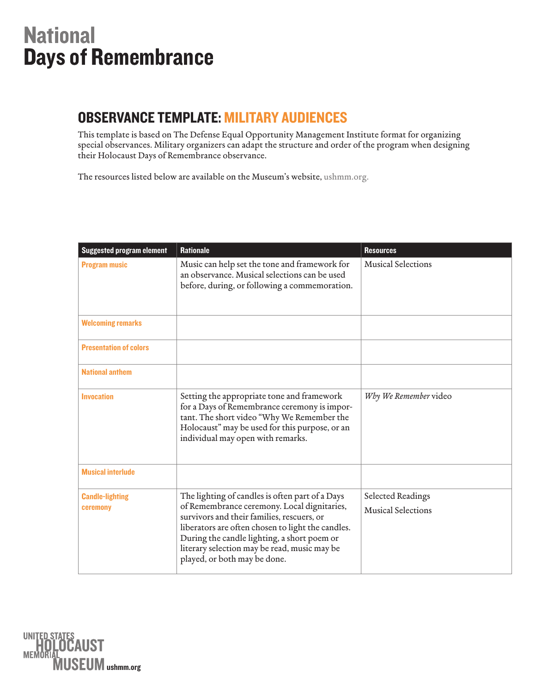## **National** Days of Remembrance

## OBSERVANCE TEMPLATE: MiLiTARy AuDiENCES

This template is based on The Defense Equal Opportunity Management Institute format for organizing special observances. Military organizers can adapt the structure and order of the program when designing their Holocaust Days of Remembrance observance.

The resources listed below are available on the Museum's website, [ushmm.org](https://www.ushmm.org/survivors-victims/days-of-remembrance/resources).

| <b>Suggested program element</b>   | <b>Rationale</b>                                                                                                                                                                                                                                                                                                                 | <b>Resources</b>                               |
|------------------------------------|----------------------------------------------------------------------------------------------------------------------------------------------------------------------------------------------------------------------------------------------------------------------------------------------------------------------------------|------------------------------------------------|
| <b>Program music</b>               | Music can help set the tone and framework for<br>an observance. Musical selections can be used<br>before, during, or following a commemoration.                                                                                                                                                                                  | <b>Musical Selections</b>                      |
| <b>Welcoming remarks</b>           |                                                                                                                                                                                                                                                                                                                                  |                                                |
| <b>Presentation of colors</b>      |                                                                                                                                                                                                                                                                                                                                  |                                                |
| <b>National anthem</b>             |                                                                                                                                                                                                                                                                                                                                  |                                                |
| <b>Invocation</b>                  | Setting the appropriate tone and framework<br>for a Days of Remembrance ceremony is impor-<br>tant. The short video "Why We Remember the<br>Holocaust" may be used for this purpose, or an<br>individual may open with remarks.                                                                                                  | Why We Remember video                          |
| <b>Musical interlude</b>           |                                                                                                                                                                                                                                                                                                                                  |                                                |
| <b>Candle-lighting</b><br>ceremony | The lighting of candles is often part of a Days<br>of Remembrance ceremony. Local dignitaries,<br>survivors and their families, rescuers, or<br>liberators are often chosen to light the candles.<br>During the candle lighting, a short poem or<br>literary selection may be read, music may be<br>played, or both may be done. | Selected Readings<br><b>Musical Selections</b> |